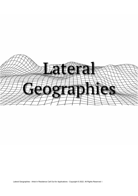

Lateral Geographies - Artist In Residence Call Out for Applications - Copyright © 2022. All Rights Reserved 1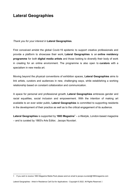# **Lateral Geographies**

#### *Thank you for your interest in* **Lateral Geographies**.

First conceived amidst the global Covid-19 epidemic to support creative professionals and provide a platform to showcase their work, **Lateral Geographies** is an **online residency programme** for both **digital media artists** and those looking to diversify their body of work in creating for an online environment. The programme is also open to **curators** with a specialism in new media art.

Moving beyond the physical conventions of exhibition spaces, **Lateral Geographies** aims to link artists, curators and audiences in new, challenging ways, while establishing a working relationship based on constant collaboration and communication.

A space for personal and professional growth, **Lateral Geographies** embraces gender and racial equalities, social inclusion and empowerment. With the intention of making art available to an ever wider public, **Lateral Geographies** is committed to supporting residents in the development of their practice as well as to the critical engagement of its audience.

**Lateral Geographies** is supported by **[1883 Magazine](http://www.1883magazine.com/)[1](#page-1-0)** – a lifestyle, London-based magazine – and is curated by 1883's Arts Editor, Jacopo Nuvolari.

<span id="page-1-0"></span><sup>1</sup> If you wish to receive 1883 Magazine Media Pack please send an email to jacopo.nuvolari@1883magazine.com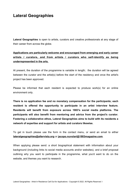## **Lateral Geographies**

**Lateral Geographies** is open to artists, curators and creative professionals at any stage of their career from across the globe.

#### **Applications are particularly welcome and encouraged from emerging and early career artists / curators, and from artists / curators who self-identify as being underrepresented in the arts.**

At present, the duration of the programme is variable in length; the duration will be agreed between the curator and the artist(s) before the start of the residency and once the artist's project has been approved.

Please be informed that each resident is expected to produce work(s) for an online environment only.

**There is no application fee and no monetary compensation for the participants; each resident is offered the opportunity to participate in an artist interview feature. Residents will benefit from exposure across 1883's social media platforms. The participants will also benefit from mentoring and advice from the project's curator. Fostering a collaborative ethos, Lateral Geographies aims to build with its residents a network of expertise and support for artists and curators likewise.**

To get in touch please use the form in the contact menu, or send an email to either **[lateralgeographies@altervista.org](mailto:lateralgeographies@altervista.org)** or **[jacopo.nuvolari@1883magazine.com](mailto:jacopo.nuvolari@1883magazine.com)**.

When applying please send: a short biographical statement with information about your background (including links to social media accounts and/or websites), and a brief proposal outlining why you want to participate in the programme, what you'd want to do on the website, and themes you want to research.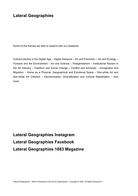## **Lateral Geographies**

Some of the themes we wish to explore with our residents:

Cultural Identity in the Digital Age – Digital Diaspora – Art and Feminism – Art and Ecology – Humans and the Environment – Art and Science – Postgenderism – Institutional Racism in the Art Industry – Freedom and Social Change – Conflict and Adversity – Immigration and Migration – Home as a Physical, Geographical and Emotional Space – Non-white Art and Non-white Art Criticism – Decolonisation, Diversification and Cultural Repatriation – And more

**[Lateral Geographies Instagram](https://www.instagram.com/lateralgeographies/)  [Lateral Geographies Facebook](https://www.facebook.com/lateralgeographies) [Lateral Geographies 1883 Magazine](https://1883magazine.com/lateral-geographies/)**